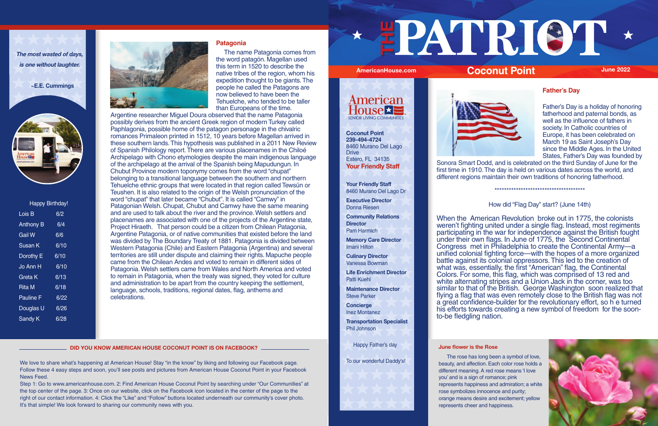| <b>Happy Birthday!</b> |      |  |  |  |  |  |
|------------------------|------|--|--|--|--|--|
| Lois B                 | 6/2  |  |  |  |  |  |
| <b>Anthony B</b>       | 6/4  |  |  |  |  |  |
| <b>Gail W</b>          | 6/6  |  |  |  |  |  |
| Susan K                | 6/10 |  |  |  |  |  |
| Dorothy E              | 6/10 |  |  |  |  |  |
| Jo Ann H               | 6/10 |  |  |  |  |  |
| Greta K                | 6/13 |  |  |  |  |  |
| Rita M                 | 6/18 |  |  |  |  |  |
| <b>Pauline F</b>       | 6/22 |  |  |  |  |  |
| Douglas U              | 6/26 |  |  |  |  |  |
| Sandy K                | 6/28 |  |  |  |  |  |



**The most wasted of days, is one without laughter.**

 **~E.E. Cummings**



## **Patagonia**

 The name Patagonia comes from the word patagón. Magellan used this term in 1520 to describe the native tribes of the region, whom his expedition thought to be giants. The people he called the Patagons are now believed to have been the Tehuelche, who tended to be taller than Europeans of the time.

Argentine researcher Miguel Doura observed that the name Patagonia possibly derives from the ancient Greek region of modern Turkey called Paphlagonia, possible home of the patagon personage in the chivalric romances Primaleon printed in 1512, 10 years before Magellan arrived in these southern lands. This hypothesis was published in a 2011 New Review of Spanish Philology report. There are various placenames in the Chiloé Archipelago with Chono etymologies despite the main indigenous language of the archipelago at the arrival of the Spanish being Mapudungun. In Chubut Province modern toponymy comes from the word "chupat" belonging to a transitional language between the southern and northern Tehuelche ethnic groups that were located in that region called Tewsün or Teushen. It is also related to the origin of the Welsh pronunciation of the word "chupat" that later became "Chubut". It is called "Camwy" in Patagonian Welsh. Chupat, Chubut and Camwy have the same meaning and are used to talk about the river and the province. Welsh settlers and placenames are associated with one of the projects of the Argentine state, Project Hiraeth. That person could be a citizen from Chilean Patagonia, Argentine Patagonia, or of native communities that existed before the land was divided by The Boundary Treaty of 1881. Patagonia is divided between Western Patagonia (Chile) and Eastern Patagonia (Argentina) and several territories are still under dispute and claiming their rights. Mapuche people came from the Chilean Andes and voted to remain in different sides of Patagonia. Welsh settlers came from Wales and North America and voted to remain in Patagonia, when the treaty was signed, they voted for culture and administration to be apart from the country keeping the settlement, language, schools, traditions, regional dates, flag, anthems and celebrations.

# **Father's Day**

We love to share what's happening at American House! Stay "in the know" by liking and following our Facebook page. Follow these 4 easy steps and soon, you'll see posts and pictures from American House Coconut Point in your Facebook News Feed.

Father's Day is a holiday of honoring fatherhood and paternal bonds, as well as the influence of fathers in society. In Catholic countries of Europe, it has been celebrated on March 19 as Saint Joseph's Day since the Middle Ages. In the United States, Father's Day was founded by





Sonora Smart Dodd, and is celebrated on the third Sunday of June for the first time in 1910. The day is held on various dates across the world, and different regions maintain their own traditions of honoring fatherhood.

\*\*\*\*\*\*\*\*\*\*\*\*\*\*\*\*\*\*\*\*\*\*\*\*\*\*\*\*\*\*\*\*\*\*\*\*\*\*



## How did "Flag Day" start? (June 14th)

When the American Revolution broke out in 1775, the colonists weren't fighting united under a single flag. Instead, most regiments participating in the war for independence against the British fought under their own flags. In June of 1775, the Second Continental Congress met in Philadelphia to create the Continental Army—a unified colonial fighting force—with the hopes of a more organized battle against its colonial oppressors. This led to the creation of what was, essentially, the first "American" flag, the Continental Colors. For some, this flag, which was comprised of 13 red and white alternating stripes and a Union Jack in the corner, was too similar to that of the British. George Washington soon realized that flying a flag that was even remotely close to the British flag was not a great confidence-builder for the revolutionary effort, so h e turned his efforts towards creating a new symbol of freedom for the soonto-be fledgling nation.

**June flower is the Rose**

 The rose has long been a symbol of love, beauty, and affection. Each color rose holds a different meaning. A red rose means 'I love you' and is a sign of romance; pink represents happiness and admiration; a white rose symbolizes innocence and purity; orange means desire and excitement; yellow represents cheer and happiness.



**Your Friendly Staff** 8460 Murano Del Lago Dr

**Executive Director** Donna Riesen

**Community Relations Director** Pam Harmich

**Memory Care Director** Imani Hilton

**Culinary Director** Vanessa Bowman

**Life Enrichment Director** Patti Kuehl

**Maintenance Director** Steve Parker

**Concierge** Inez Montanez

**Transportation Specialist** Phil Johnson

Happy Father's day

**Your Friendly Staff Coconut Point 239-494-4724** 8460 Murano Del Lago **Drive** Estero, FL 34135

Step 1: Go to www.americanhouse.com. 2: Find American House Coconut Point by searching under "Our Communities" at the top center of the page. 3: Once on our website, click on the Facebook icon located in the center of the page to the right of our contact information. 4: Click the "Like" and "Follow" buttons located underneath our community's cover photo. It's that simple! We look forward to sharing our community news with you.

**DID YOU KNOW AMERICAN HOUSE COCONUT POINT IS ON FACEBOOK?**